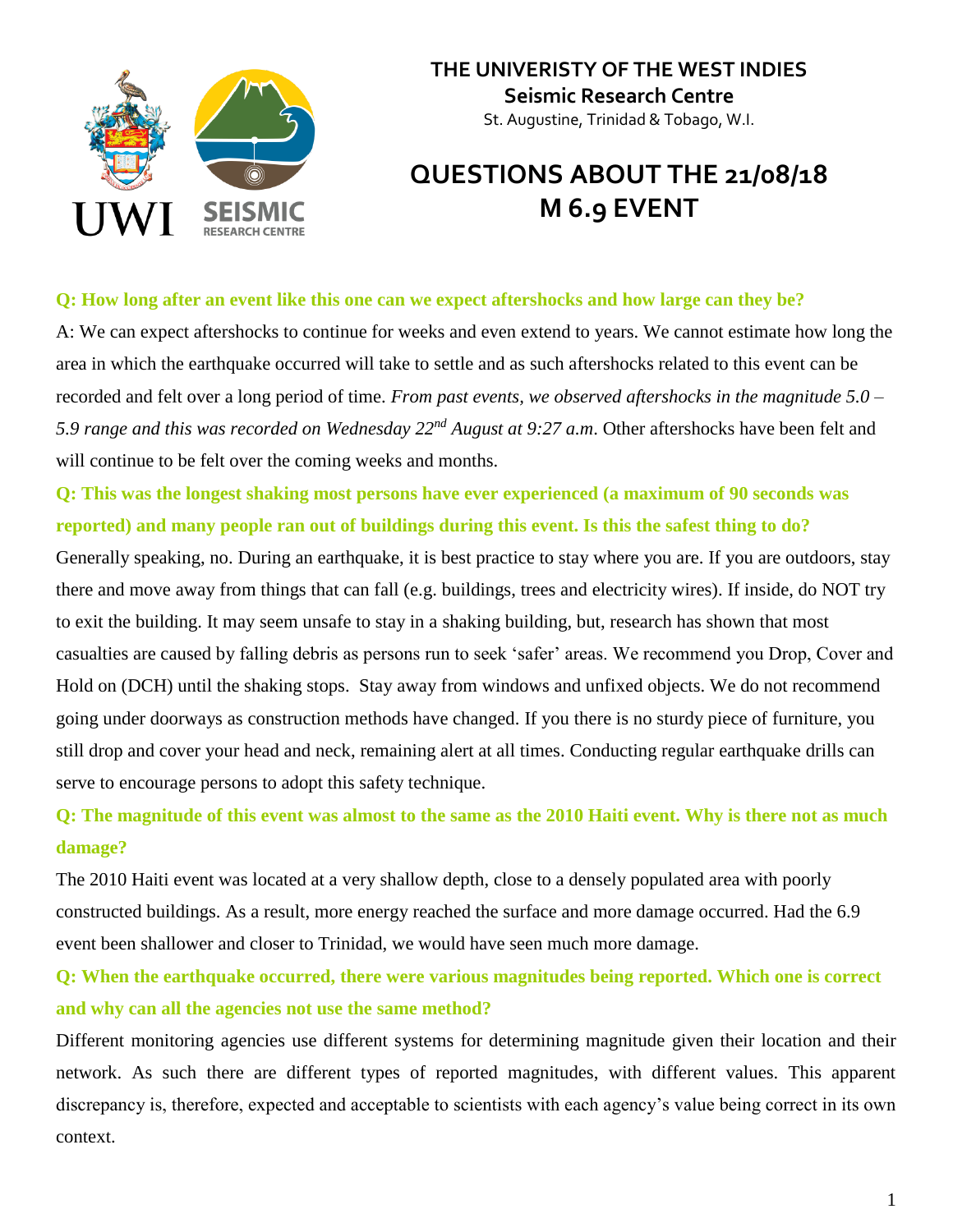

### **THE UNIVERISTY OF THE WEST INDIES Seismic Research Centre** St. Augustine, Trinidad & Tobago, W.I.

# **QUESTIONS ABOUT THE 21/08/18 M 6.9 EVENT**

#### **Q: How long after an event like this one can we expect aftershocks and how large can they be?**

A: We can expect aftershocks to continue for weeks and even extend to years. We cannot estimate how long the area in which the earthquake occurred will take to settle and as such aftershocks related to this event can be recorded and felt over a long period of time. *From past events, we observed aftershocks in the magnitude 5.0 – 5.9 range and this was recorded on Wednesday 22nd August at 9:27 a.m*. Other aftershocks have been felt and will continue to be felt over the coming weeks and months.

**Q: This was the longest shaking most persons have ever experienced (a maximum of 90 seconds was reported) and many people ran out of buildings during this event. Is this the safest thing to do?**

Generally speaking, no. During an earthquake, it is best practice to stay where you are. If you are outdoors, stay there and move away from things that can fall (e.g. buildings, trees and electricity wires). If inside, do NOT try to exit the building. It may seem unsafe to stay in a shaking building, but, research has shown that most casualties are caused by falling debris as persons run to seek 'safer' areas. We recommend you Drop, Cover and Hold on (DCH) until the shaking stops. Stay away from windows and unfixed objects. We do not recommend going under doorways as construction methods have changed. If you there is no sturdy piece of furniture, you still drop and cover your head and neck, remaining alert at all times. Conducting regular earthquake drills can serve to encourage persons to adopt this safety technique.

# **Q: The magnitude of this event was almost to the same as the 2010 Haiti event. Why is there not as much damage?**

The 2010 Haiti event was located at a very shallow depth, close to a densely populated area with poorly constructed buildings. As a result, more energy reached the surface and more damage occurred. Had the 6.9 event been shallower and closer to Trinidad, we would have seen much more damage.

# **Q: When the earthquake occurred, there were various magnitudes being reported. Which one is correct and why can all the agencies not use the same method?**

Different monitoring agencies use different systems for determining magnitude given their location and their network. As such there are different types of reported magnitudes, with different values. This apparent discrepancy is, therefore, expected and acceptable to scientists with each agency's value being correct in its own context.